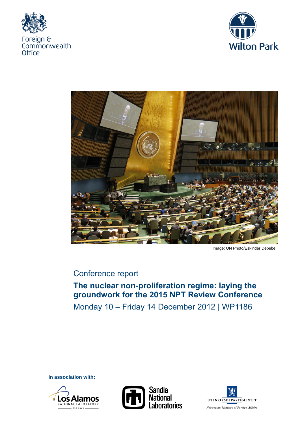





Image: UN Photo/Eskinder Debebe

# Conference report

**The nuclear non-proliferation regime: laying the groundwork for the 2015 NPT Review Conference** Monday 10 – Friday 14 December 2012 | WP1186

**In association with:**







Norwegian Ministry of Foreign Affairs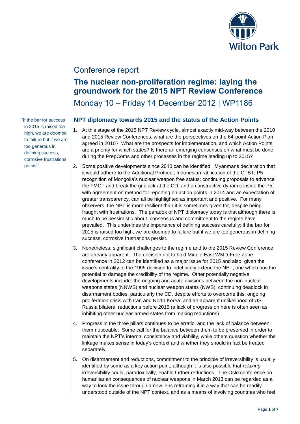

# Conference report

# **The nuclear non-proliferation regime: laying the groundwork for the 2015 NPT Review Conference**

Monday 10 – Friday 14 December 2012 | WP1186

## **NPT diplomacy towards 2015 and the status of the Action Points**

- 1. At this stage of the 2015 NPT Review cycle, almost exactly mid-way between the 2010 and 2015 Review Conferences, what are the perspectives on the 64-point Action Plan agreed in 2010? What are the prospects for implementation, and which Action Points are a priority for which states? Is there an emerging consensus on what must be done during the PrepComs and other processes in the regime leading up to 2015?
- 2. Some positive developments since 2010 can be identified. Myanmar's declaration that it would adhere to the Additional Protocol; Indonesian ratification of the CTBT; P5 recognition of Mongolia's nuclear weapon free status; continuing proposals to advance the FMCT and break the gridlock at the CD; and a constructive dynamic inside the P5, with agreement on method for reporting on action points in 2014 and an expectation of greater transparency, can all be highlighted as important and positive. For many observers, the NPT is more resilient than it is sometimes given for, despite being fraught with frustrations. The paradox of NPT diplomacy today is that although there is much to be pessimistic about, consensus and commitment to the regime have prevailed. This underlines the importance of defining success carefully: if the bar for 2015 is raised too high, we are doomed to failure but if we are too generous in defining success, corrosive frustrations persist.
- 3. Nonetheless, significant challenges to the regime and to the 2015 Review Conference are already apparent. The decision not to hold Middle East WMD-Free Zone conference in 2012 can be identified as a major issue for 2015 and also, given the issue's centrality to the 1995 decision to indefinitely extend the NPT, one which has the potential to damage the credibility of the regime. Other potentially negative developments include: the ongoing and acute divisions between the non-nuclear weapons states (NNWS) and nuclear weapon states (NWS), continuing deadlock in disarmament bodies, particularly the CD, despite efforts to overcome this; ongoing proliferation crisis with Iran and North Korea; and an apparent unlikelihood of US-Russia bilateral reductions before 2015 (a lack of progress on here is often seen as inhibiting other nuclear-armed states from making reductions).
- 4. Progress in the three pillars continues to be erratic, and the lack of balance between them noticeable. Some call for the balance between them to be preserved in order to maintain the NPT's internal consistency and viability, while others question whether the linkage makes sense in today's context and whether they should in fact be treated separately.
- 5. On disarmament and reductions, commitment to the principle of irreversibility is usually identified by some as a key action point, although it is also possible that *relaxing* irreversibility could, paradoxically, enable further reductions. The Oslo conference on humanitarian consequences of nuclear weapons in March 2013 can be regarded as a way to look the issue through a new lens reframing it in a way that can be readily understood outside of the NPT context, and as a means of involving countries who feel

"If the bar for success in 2015 is raised too high, we are doomed to failure but if we are too generous in defining success, corrosive frustrations persist"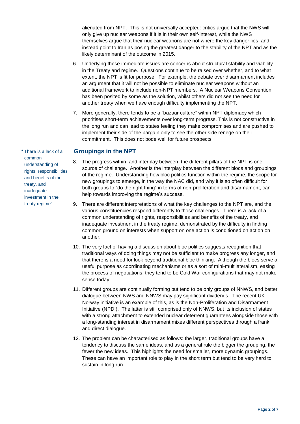alienated from NPT. This is not universally accepted: critics argue that the NWS will only give up nuclear weapons if it is in their own self-interest, while the NWS themselves argue that their nuclear weapons are not where the key danger lies, and instead point to Iran as posing the greatest danger to the stability of the NPT and as the likely determinant of the outcome in 2015.

- 6. Underlying these immediate issues are concerns about structural stability and viability in the Treaty and regime. Questions continue to be raised over whether, and to what extent, the NPT is fit for purpose. For example, the debate over disarmament includes an argument that it will not be possible to eliminate nuclear weapons without an additional framework to include non-NPT members. A Nuclear Weapons Convention has been posited by some as the solution, whilst others did not see the need for another treaty when we have enough difficulty implementing the NPT.
- 7. More generally, there tends to be a "bazaar culture" within NPT diplomacy which prioritises short-term achievements over long-term progress. This is not constructive in the long run and can lead to states feeling they make compromises and are pushed to implement their side of the bargain only to see the other side renege on their commitment. This does not bode well for future prospects.

#### **Groupings in the NPT**

- 8. The progress within, and interplay between, the different pillars of the NPT is one source of challenge. Another is the interplay between the different blocs and groupings of the regime. Understanding how bloc politics function within the regime, the scope for new groupings to emerge, in the way the NAC did, and why it is so often difficult for both groups to "do the right thing" in terms of non-proliferation and disarmament, can help towards improving the regime's success.
- 9. There are different interpretations of what the key challenges to the NPT are, and the various constituencies respond differently to those challenges. There is a lack of a common understanding of rights, responsibilities and benefits of the treaty, and inadequate investment in the treaty regime, demonstrated by the difficulty in finding common ground on interests when support on one action is conditioned on action on another.
- 10. The very fact of having a discussion about bloc politics suggests recognition that traditional ways of doing things may not be sufficient to make progress any longer, and that there is a need for look beyond traditional bloc thinking. Although the blocs serve a useful purpose as coordinating mechanisms or as a sort of mini-multilateralism, easing the process of negotiations, they tend to be Cold War configurations that may not make sense today.
- 11. Different groups are continually forming but tend to be only groups of NNWS, and better dialogue between NWS and NNWS may pay significant dividends. The recent UK-Norway initiative is an example of this, as is the Non-Proliferation and Disarmament Initiative (NPDI). The latter is still comprised only of NNWS, but its inclusion of states with a strong attachment to extended nuclear deterrent guarantees alongside those with a long-standing interest in disarmament mixes different perspectives through a frank and direct dialogue.
- 12. The problem can be characterised as follows: the larger, traditional groups have a tendency to discuss the same ideas, and as a general rule the bigger the grouping, the fewer the new ideas. This highlights the need for smaller, more dynamic groupings. These can have an important role to play in the short term but tend to be very hard to sustain in long run.

" There is a lack of a common understanding of rights, responsibilities and benefits of the treaty, and inadequate investment in the treaty regime"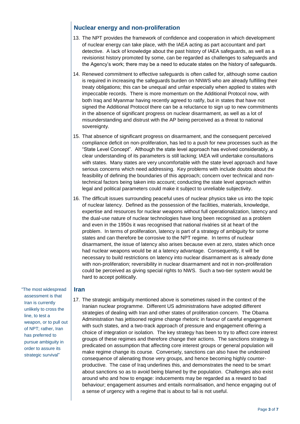# **Nuclear energy and non-proliferation**

- 13. The NPT provides the framework of confidence and cooperation in which development of nuclear energy can take place, with the IAEA acting as part accountant and part detective. A lack of knowledge about the past history of IAEA safeguards, as well as a revisionist history promoted by some, can be regarded as challenges to safeguards and the Agency's work; there may be a need to educate states on the history of safeguards.
- 14. Renewed commitment to effective safeguards is often called for, although some caution is required in increasing the safeguards burden on NNWS who are already fulfilling their treaty obligations; this can be unequal and unfair especially when applied to states with impeccable records. There is more momentum on the Additional Protocol now, with both Iraq and Myanmar having recently agreed to ratify, but in states that have not signed the Additional Protocol there can be a reluctance to sign up to new commitments in the absence of significant progress on nuclear disarmament, as well as a lot of misunderstanding and distrust with the AP being perceived as a threat to national sovereignty.
- 15. That absence of significant progress on disarmament, and the consequent perceived compliance deficit on non-proliferation, has led to a push for new processes such as the "State Level Concept". Although the state level approach has evolved considerably, a clear understanding of its parameters is still lacking; IAEA will undertake consultations with states. Many states are very uncomfortable with the state level approach and have serious concerns which need addressing. Key problems with include doubts about the feasibility of defining the boundaries of this approach; concern over technical and nontechnical factors being taken into account; conducting the state level approach within legal and political parameters could make it subject to unreliable subjectivity.
- 16. The difficult issues surrounding peaceful uses of nuclear physics take us into the topic of nuclear latency. Defined as the possession of the facilities, materials, knowledge, expertise and resources for nuclear weapons without full operationalization, latency and the dual-use nature of nuclear technologies have long been recognised as a problem and even in the 1950s it was recognised that national rivalries sit at heart of the problem. In terms of proliferation, latency is part of a strategy of ambiguity for some states and can therefore be corrosive to the NPT regime. In terms of nuclear disarmament, the issue of latency also arises because even at zero, states which once had nuclear weapons would be at a latency advantage. Consequently, it will be necessary to build restrictions on latency into nuclear disarmament as is already done with non-proliferation; reversibility in nuclear disarmament and not in non-proliferation could be perceived as giving special rights to NWS. Such a two-tier system would be hard to accept politically.
- "The most widespread assessment is that Iran is currently unlikely to cross the line, to test a weapon, or to pull out of NPT; rather, Iran has preferred to pursue ambiguity in order to assure its strategic survival"

#### **Iran**

17. The strategic ambiguity mentioned above is sometimes raised in the context of the Iranian nuclear programme. Different US administrations have adopted different strategies of dealing with Iran and other states of proliferation concern. The Obama Administration has jettisoned regime change rhetoric in favour of careful engagement with such states, and a two-track approach of pressure and engagement offering a choice of integration or isolation. The key strategy has been to try to affect core interest groups of these regimes and therefore change their actions. The sanctions strategy is predicated on assumption that affecting core interest groups or general population will make regime change its course. Conversely, sanctions can also have the undesired consequence of alienating those very groups, and hence becoming highly counterproductive. The case of Iraq underlines this, and demonstrates the need to be smart about sanctions so as to avoid being blamed by the population. Challenges also exist around who and how to engage: inducements may be regarded as a reward to bad behaviour; engagement assumes and entails normalisation, and hence engaging out of a sense of urgency with a regime that is about to fail is not useful.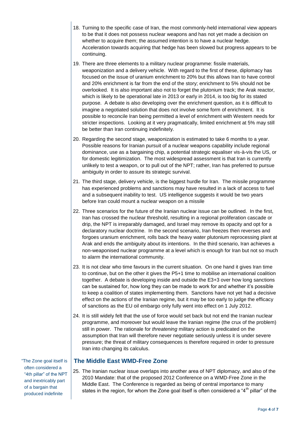- 18. Turning to the specific case of Iran, the most commonly-held international view appears to be that it does not possess nuclear weapons and has not yet made a decision on whether to acquire them; the assumed intention is to have a nuclear hedge. Acceleration towards acquiring that hedge has been slowed but progress appears to be continuing.
- 19. There are three elements to a military nuclear programme: fissile materials, weaponization and a delivery vehicle. With regard to the first of these, diplomacy has focused on the issue of uranium enrichment to 20% but this allows Iran to have control and 20% enrichment is far from the end of the story; enrichment to 5% should not be overlooked. It is also important also not to forget the plutonium track; the Arak reactor, which is likely to be operational late in 2013 or early in 2014, is too big for its stated purpose. A debate is also developing over the enrichment question, as it is difficult to imagine a negotiated solution that does not involve some form of enrichment. It is possible to reconcile Iran being permitted a level of enrichment with Western needs for stricter inspections. Looking at it very pragmatically, limited enrichment at 5% may still be better than Iran continuing indefinitely.
- 20. Regarding the second stage, weaponization is estimated to take 6 months to a year. Possible reasons for Iranian pursuit of a nuclear weapons capability include regional dominance, use as a bargaining chip, a potential strategic equaliser vis-à-vis the US, or for domestic legitimization. The most widespread assessment is that Iran is currently unlikely to test a weapon, or to pull out of the NPT; rather, Iran has preferred to pursue ambiguity in order to assure its strategic survival.
- 21. The third stage, delivery vehicle, is the biggest hurdle for Iran. The missile programme has experienced problems and sanctions may have resulted in a lack of access to fuel and a subsequent inability to test. US intelligence suggests it would be two years before Iran could mount a nuclear weapon on a missile
- 22. Three scenarios for the future of the Iranian nuclear issue can be outlined. In the first, Iran has crossed the nuclear threshold, resulting in a regional proliferation cascade or drip, the NPT is irreparably damaged, and Israel may remove its opacity and opt for a declaratory nuclear doctrine. In the second scenario, Iran freezes then reverses and forgoes uranium enrichment, rolls back the heavy water plutonium reprocessing plant at Arak and ends the ambiguity about its intentions. In the third scenario, Iran achieves a non-weaponised nuclear programme at a level which is enough for Iran but not so much to alarm the international community.
- 23. It is not clear who time favours in the current situation. On one hand it gives Iran time to continue, but on the other it gives the P5+1 time to mobilise an international coalition together. A debate is developing inside and outside the E3+3 over how long sanctions can be sustained for, how long they can be made to work for and whether it's possible to keep a coalition of states implementing them. Sanctions have not yet had a decisive effect on the actions of the Iranian regime, but it may be too early to judge the efficacy of sanctions as the EU oil embargo only fully went into effect on 1 July 2012.
- 24. It is still widely felt that the use of force would set back but not end the Iranian nuclear programme, and moreover but would leave the Iranian regime (the crux of the problem) still in power. The rationale for *threatening* military action is predicated on the assumption that Iran will therefore never negotiate seriously unless it is under severe pressure; the threat of military consequences is therefore required in order to pressure Iran into changing its calculus.

**The Middle East WMD-Free Zone**

25. The Iranian nuclear issue overlaps into another area of NPT diplomacy, and also of the 2010 Mandate: that of the proposed 2012 Conference on a WMD-Free Zone in the Middle East. The Conference is regarded as being of central importance to many states in the region, for whom the Zone goal itself is often considered a "4<sup>th</sup> pillar" of the

"The Zone goal itself is often considered a "4th pillar" of the NPT and inextricably part of a bargain that produced indefinite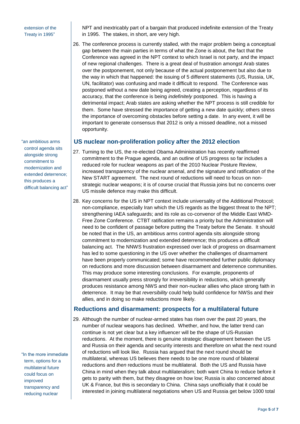extension of the Treaty in 1995"

"an ambitious arms control agenda sits alongside strong commitment to modernization and extended deterrence; this produces a difficult balancing act"

"In the more immediate term, options for a multilateral future could focus on improved transparency and reducing nuclear

NPT and inextricably part of a bargain that produced indefinite extension of the Treaty in 1995. The stakes, in short, are very high.

26. The conference process is currently stalled, with the major problem being a conceptual gap between the main parties in terms of what the Zone is about, the fact that the Conference was agreed in the NPT context to which Israel is not party, and the impact of new regional challenges. There is a great deal of frustration amongst Arab states over the postponement, not only because of the actual postponement but also due to the way in which that happened: the issuing of 5 different statements (US, Russia, UK, UN, facilitator) was confusing and made it difficult to respond. The Conference was postponed without a new date being agreed, creating a perception, regardless of its accuracy, that the conference is being *indefinitely* postponed. This is having a detrimental impact; Arab states are asking whether the NPT process is still credible for them. Some have stressed the importance of getting a new date quickly; others stress the importance of overcoming obstacles before setting a date. In any event, it will be important to generate consensus that 2012 is only a missed deadline, not a missed opportunity.

## **US nuclear non-proliferation policy after the 2012 election**

- 27. Turning to the US, the re-elected Obama Administration has recently reaffirmed commitment to the Prague agenda, and an outline of US progress so far includes a reduced role for nuclear weapons as part of the 2010 Nuclear Posture Review, increased transparency of the nuclear arsenal, and the signature and ratification of the New START agreement. The next round of reductions will need to focus on nonstrategic nuclear weapons; it is of course crucial that Russia joins but no concerns over US missile defence may make this difficult.
- 28. Key concerns for the US in NPT context include universality of the Additional Protocol; non-compliance, especially Iran which the US regards as the biggest threat to the NPT; strengthening IAEA safeguards; and its role as co-convenor of the Middle East WMD-Free Zone Conference. CTBT ratification remains a priority but the Administration will need to be confident of passage before putting the Treaty before the Senate. It should be noted that in the US, an ambitious arms control agenda sits alongside strong commitment to modernization and extended deterrence; this produces a difficult balancing act. The NNWS frustration expressed over lack of progress on disarmament has led to some questioning in the US over whether the challenges of disarmament have been properly communicated; some have recommended further public diplomacy on reductions and more discussion between disarmament and deterrence communities. This may produce some interesting conclusions. For example, proponents of disarmament usually press strongly for irreversibility in reductions, which generally produces resistance among NWS and their non-nuclear allies who place strong faith in deterrence. It may be that *reversibility* could help build confidence for NWSs and their allies, and in doing so make reductions more likely.

## **Reductions and disarmament: prospects for a multilateral future**

29. Although the number of nuclear-armed states has risen over the past 20 years, the number of nuclear weapons has declined. Whether, and how, the latter trend can continue is not yet clear but a key influencer will be the shape of US-Russian reductions. At the moment, there is genuine strategic disagreement between the US and Russia on their agenda and security interests and therefore on what the next round of reductions will look like. Russia has argued that the next round should be multilateral, whereas US believes there needs to be one more round of bilateral reductions and *then* reductions must be multilateral. Both the US and Russia have China in mind when they talk about multilateralism; both want China to reduce before it gets to parity with them, but they disagree on how low; Russia is also concerned about UK & France, but this is secondary to China. China says unofficially that it could be interested in joining multilateral negotiations when US and Russia get below 1000 total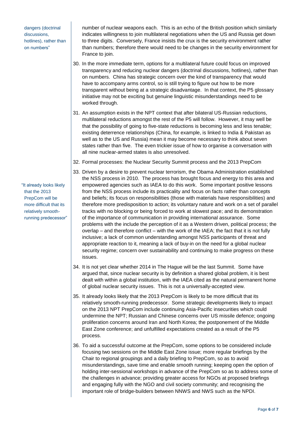dangers (doctrinal discussions, hotlines), rather than on numbers"

number of nuclear weapons each. This is an echo of the British position which similarly indicates willingness to join multilateral negotiations when the US and Russia get down to three digits. Conversely, France insists the crux is the security environment rather than numbers; therefore there would need to be changes in the security environment for France to join.

- 30. In the more immediate term, options for a multilateral future could focus on improved transparency and reducing nuclear dangers (doctrinal discussions, hotlines), rather than on numbers. China has strategic concern over the kind of transparency that would have to accompany arms control, so is still trying to figure out how to be more transparent without being at a strategic disadvantage. In that context, the P5 glossary initiative may not be exciting but genuine linguistic misunderstandings need to be worked through.
- 31. An assumption exists in the NPT context that after bilateral US-Russian reductions, multilateral reductions amongst the rest of the P5 will follow. However, it may well be that the possibility of going to five-state reductions is becoming less and less tenable; existing deterrence relationships (China, for example, is linked to India & Pakistan as well as to the US and Russia) mean it may become necessary to think about seven states rather than five. The even trickier issue of how to organise a conversation with all nine nuclear-armed states is also unresolved.
- 32. Formal processes: the Nuclear Security Summit process and the 2013 PrepCom
- 33. Driven by a desire to prevent nuclear terrorism, the Obama Administration established the NSS process in 2010. The process has brought focus and energy to this area and empowered agencies such as IAEA to do this work. Some important positive lessons from the NSS process include its practicality and focus on facts rather than concepts and beliefs; its focus on responsibilities (those with materials have responsibilities) and therefore more predisposition to action; its voluntary nature and work on a set of parallel tracks with no blocking or being forced to work at slowest pace; and its demonstration of the importance of communication in providing international assurance. Some problems with the include the perception of it as a Western driven, political process; the overlap – and therefore conflict – with the work of the IAEA; the fact that it is not fully inclusive; a lack of common understanding amongst NSS participants of threat and appropriate reaction to it, meaning a lack of buy-in on the need for a global nuclear security regime; concern over sustainability and continuing to make progress on these issues.
- 34. It is not yet clear whether 2014 in The Hague will be the last Summit. Some have argued that, since nuclear security is by definition a shared global problem, it is best dealt with within a global institution, with the IAEA cited as the natural permanent home of global nuclear security issues. This is not a universally-accepted view.
- 35. It already looks likely that the 2013 PrepCom is likely to be more difficult that its relatively smooth-running predecessor. Some strategic developments likely to impact on the 2013 NPT PrepCom include continuing Asia-Pacific insecurities which could undermine the NPT; Russian and Chinese concerns over US missile defence; ongoing proliferation concerns around Iran and North Korea; the postponement of the Middle East Zone conference; and unfulfilled expectations created as a result of the P5 process.
- 36. To aid a successful outcome at the PrepCom, some options to be considered include focusing two sessions on the Middle East Zone issue; more regular briefings by the Chair to regional groupings and a daily briefing to PrepCom, so as to avoid misunderstandings, save time and enable smooth running; keeping open the option of holding inter-sessional workshops in advance of the PrepCom so as to address some of the challenges in advance; providing greater access for NGOs at proposed briefings and engaging fully with the NGO and civil society community; and recognising the important role of bridge-builders between NNWS and NWS such as the NPDI.

"It already looks likely that the 2013 PrepCom will be more difficult that its relatively smoothrunning predecessor"